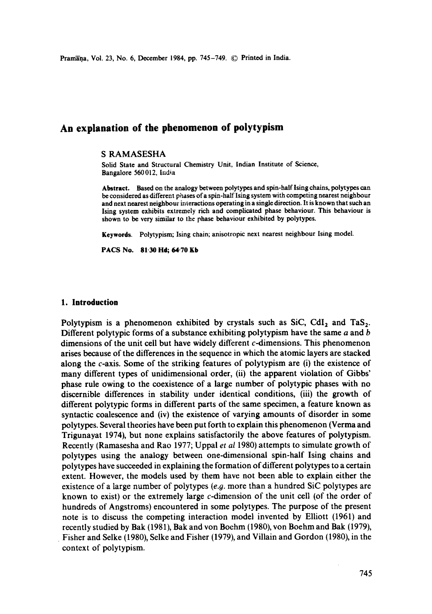Pramana, Vol. 23, No. 6, December 1984, pp. 745-749. © Printed in India.

# **An explanation of the phenomenon of polytypism**

#### S RAMASESHA

Solid State and Structural Chemistry Unit, Indian Institute of Science, Bangalor¢ 560 012, India

**Abstract.** Based on the analogy between polytypes and spin-half Ising chains, polytypes can be considered as different phases of a spin-half Ising system with competing nearest neighbour and next nearest neighbour interactions operating in a single direction. It is known that such an Ising system exhibits extremely rich and complicated phase behaviour. This behaviour is shown to be very similar to the phase behaviour exhibited by polytypes.

Keywords. Polytypism; Ising chain; anisotropic next nearest neighbour Ising model.

**PACS No. 81"30 Hd; 64.70 Kb** 

#### **1. Introduction**

Polytypism is a phenomenon exhibited by crystals such as SiC, CdI<sub>2</sub> and TaS<sub>2</sub>. Different polytypic forms of a substance exhibiting polytypism have the same  $a$  and  $b$ dimensions of the unit cell but have widely different c-dimensions. This phenomenon arises because of the differences in the sequence in which the atomic layers are stacked along the  $c$ -axis. Some of the striking features of polytypism are (i) the existence of many different types of unidimensional order, (ii) the apparent violation of Gibbs' phase rule owing to the coexistence of a large number of polytypic phases with no discernible differences in stability under identical conditions, (iii) the growth of different polytypic forms in different parts of the same specimen, a feature known as syntactic coalescence and (iv) the existence of varying amounts of disorder in some polytypes. Several theories have been put forth to explain this phenomenon (Verma and Trigunayat 1974), but none explains satisfactorily the above features of polytypism. Recently (Ramasesha and Rao 1977; Uppal *et al* 1980) attempts to simulate growth of polytypes using the analogy between one-dimensional spin-half Ising chains and polytypes have succeeded in explaining the formation of different polytypes to a certain extent. However, the models used by them have not been able to explain either the existence of a large number of polytypes (e.g. more than a hundred SiC polytypes are known to exist) or the extremely large c-dimension of the unit cell (of the order of hundreds of Angstroms) encountered in some polytypes. The purpose of the present note is to discuss the competing interaction model invented by Elliott (1961) and recently studied by Bak (1981), Bak and von Boehm (1980), yon Boehm and Bak (1979), Fisher and Selke (1980), Selke and Fisher (1979), and Villain and Gordon (1980), in the context of polytypism.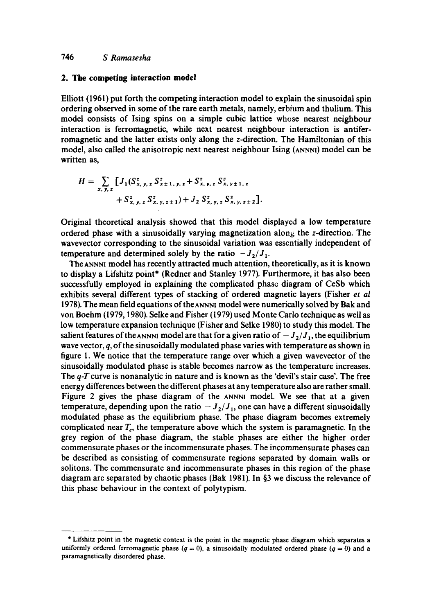#### **2. The competing interaction model**

Elliott (1961) put forth the competing interaction model to explain the sinusoidal spin ordering observed in some of the rare earth metals, namely, erbium and thulium. This model consists of Ising spins on a simple cubic lattice whose nearest neighbour interaction is ferromagnetic, while next nearest neighbour interaction is antiferromagnetic and the latter exists only along the z-direction. The Hamiltonian of this model, also called the anisotropic next nearest neighbour Ising (ANNNI) model can be written as,

$$
H = \sum_{x, y, z} \left[ J_1(S_{x, y, z}^z S_{x \pm 1, y, z}^z + S_{x, y, z}^z S_{x, y \pm 1, z}^z + S_{x, y, z}^z S_{x, y, z \pm 1}^z + J_2 S_{x, y, z}^z S_{x, y, z \pm 2}^z \right].
$$

Original theoretical analysis showed that this model displayed a low temperature ordered phase with a sinusoidally varying magnetization along the z-direction. The wavevector corresponding to the sinusoidal variation was essentially independent of temperature and determined solely by the ratio  $-J_2/J_1$ .

The ANNNI model has recently attracted much attention, theoretically, as it is known to display a Lifshitz point\* (Redner and Stanley 1977). Furthermore, it has also been successfully employed in explaining the complicated phase diagram of CeSb which exhibits several different types of stacking of ordered magnetic layers (Fisher *et al*  1978). The mean field equations of the ANNNI model were numerically solved by Bak and von Boehm (1979, 1980). Selke and Fisher (1979) used Monte Carlo technique as well as low temperature expansion technique (Fisher and Selke 1980) to study this model. The salient features of the ANNN1 model are that for a given ratio of  $-J_2/J_1$ , the equilibrium wave vector,  $q$ , of the sinusoidally modulated phase varies with temperature as shown in figure 1. We notice that the temperature range over which a given wavevector of the sinusoidally modulated phase is stable becomes narrow as the temperature increases. The  $q$ -T curve is nonanalytic in nature and is known as the 'devil's stair case'. The free energy differences between the different phases at any temperature also are rather small. Figure 2 gives the phase diagram of the ANNNI model. We see that at a given temperature, depending upon the ratio  $-J_2/J_1$ , one can have a different sinusoidally modulated phase as the equilibrium phase. The phase diagram becomes extremely complicated near  $T_c$ , the temperature above which the system is paramagnetic. In the grey region of the phase diagram, the stable phases are either the higher order commensurate phases or the incommensurate phases. The incommensurate phases can be described as consisting of commensurate regions separated by domain walls or solitons. The commensurate and incommensurate phases in this region of the phase diagram are separated by chaotic phases (Bak 1981). In §3 we discuss the relevance of this phase behaviour in the context of polytypism.

<sup>&</sup>quot;Lifshitz point in the magnetic context is the point in the magnetic phase diagram which separates a uniformly ordered ferromagnetic phase ( $q = 0$ ), a sinusoidally modulated ordered phase ( $q = 0$ ) and a paramagnetically disordered phase.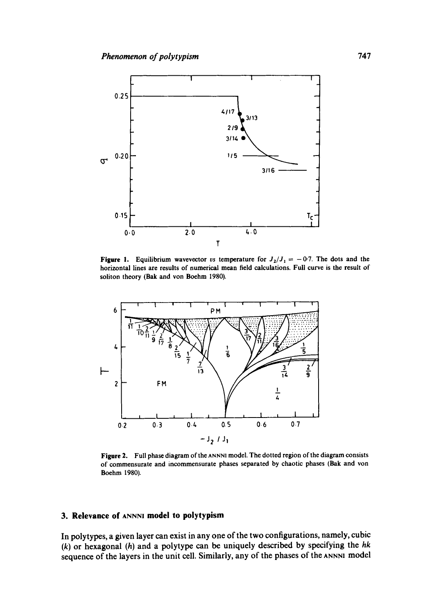

**Figure 1.** Equilibrium wavevector vs temperature for  $J_2/J_1 = -0.7$ . The dots and the horizontal lines are results of numerical mean field calculations. Full curve is the result of soliton theory (Bak and von Boehm 1980).



**Figure** 2. Full phase diagram of the ANNNI model. The dotted region of the diagram consists of commensurate and incommensurate phases separated by chaotic phases (Bak and von Boehm 1980).

## **3. Relevance of ANNNI model to polytypism**

In polytypes, a given layer can exist in any one of the two configurations, namely, cubic (k) or hexagonal (h) and a polytype can be uniquely described by specifying the *hk*  sequence of the layers in the unit cell. Similarly, any of the phases of the ANNN] model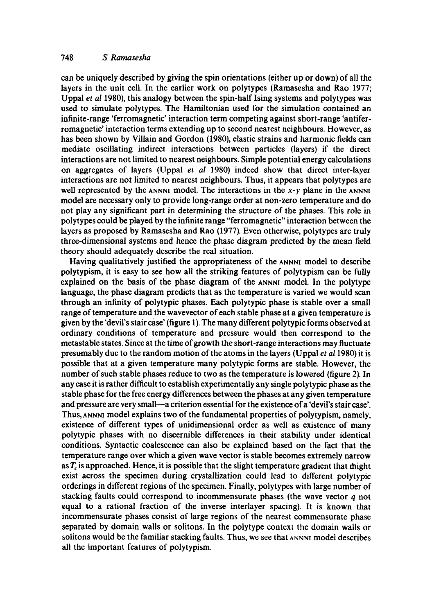can be uniquely described by giving the spin orientations (either up or down) of all the layers in the unit cell. In the earlier work on polytypes (Ramasesha and Rao 1977; Uppal *et al* 1980), this analogy between the spin-half Ising systems and polytypes was used to simulate polytypes. The Hamiltonian used for the simulation contained an infinite-range 'ferromagnetic' interaction term competing against short-range 'antiferromagnetic' interaction terms extending up to second nearest neighbours. However, as has been shown by Villain and Gordon (1980), elastic strains and harmonic fields can mediate oscillating indirect interactions between particles (layers) if the direct interactions are not limited to nearest neighbours. Simple potential energy calculations on aggregates of layers (Uppal *et al* 1980) indeed show that direct inter-layer interactions are not limited to nearest neighbours. Thus, it appears that polytypes are well represented by the ANNNI model. The interactions in the  $x-y$  plane in the ANNNI model are necessary only to provide long-range order at non-zero temperature and do not play any significant part in determining the structure of the phases. This role in polytypes could be played by the infinite range "ferromagnetic" interaction between the layers as proposed by Ramasesha and Rao (1977). Even otherwise, polytypes are truly three-dimensional systems and hence the phase diagram predicted by the mean field theory should adequately describe the real situation.

Having qualitatively justified the appropriateness of the ANNNI model to describe polytypism, it is easy to see how all the striking features of polytypism can be fully explained on the basis of the phase diagram of the ANNNI model. In the polytype language, the phase diagram predicts that as the temperature is varied we would scan through an infinity of polytypic phases. Each polytypic phase is stable over a small range of temperature and the wavevector of each stable phase at a given temperature is given by the 'devil's stair case' (figure 1). The many different polytypic forms observed at ordinary conditions of temperature and pressure would then correspond to the metastable states. Since at the time of growth the short-range interactions may fluctuate presumably due to the random motion of the atoms in the layers (Uppal *et al* 1980) it is possible that at a given temperature many polytypic forms are stable. However, the number of such stable phases reduce to two as the temperature is lowered (figure 2). In any case it is rather difficult to establish experimentally any single polytypic phase as the stable phase for the free energy differences between the phases at any given temperature and pressure are very small—a criterion essential for the existence of a 'devil's stair case'. Thus, ANNNI model explains two of the fundamental properties of polytypism, namely, existence of different types of unidimensional order as well as existence of many polytypic phases with no discernible differences in their stability under identical conditions. Syntactic coalescence can also be explained based on the fact that the temperature range over which a given wave vector is stable becomes extremely narrow as  $T_c$  is approached. Hence, it is possible that the slight temperature gradient that might exist across the specimen during crystallization could lead to different polytypic orderings in different regions of the specimen. Finally, polytypes with large number of stacking faults could correspond to incommensurate phases (the wave vector  $q$  not equal to a rational fraction of the inverse interlayer spacing). It is known that incommensurate phases consist of large regions of the nearest commensurate phase separated by domain walls or solitons. In the polytype context the domain walls or solitons would be the familiar stacking faults. Thus, we see that  $\Delta N$ NNNI model describes all the important features of polytypism.